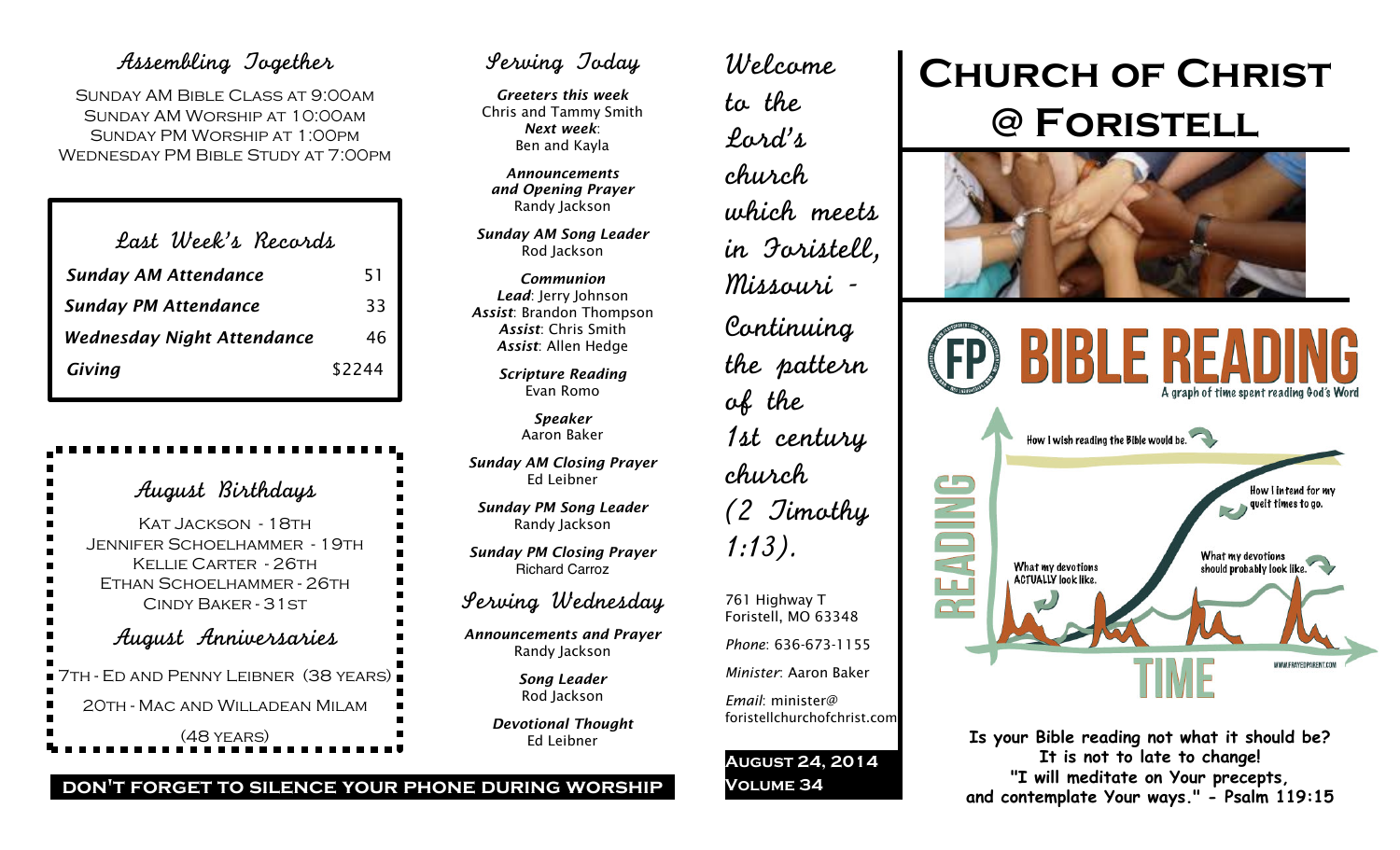## Assembling Together

Sunday AM Bible Class at 9:00am Sunday AM Worship at 10:00am Sunday PM Worship at 1:00pm Wednesday PM Bible Study at 7:00pm

| Last Week's Records               |        |
|-----------------------------------|--------|
| <b>Sunday AM Attendance</b>       | 51     |
| <b>Sunday PM Attendance</b>       | 33     |
| <b>Wednesday Night Attendance</b> | 46     |
| Giving                            | \$2244 |

| August Birthdays                                                                                                                                                            |
|-----------------------------------------------------------------------------------------------------------------------------------------------------------------------------|
| ■<br>Kat Jackson - 18th<br>■<br> <br> <br>. Jennifer Schoel hammer - 19th<br>KELLIE CARTER - 26TH<br>-<br>-<br>-<br>ETHAN SCHOELHAMMER - 26TH<br><b>CINDY BAKER - 31 ST</b> |
| August Anniversaries<br>$\overline{\phantom{a}}$                                                                                                                            |
| ■ 7th - Ed and Penny Leibner(38 years)                                                                                                                                      |
| 20TH - MAC AND WILLADEAN MILAM                                                                                                                                              |
| $(48$ YEARS)                                                                                                                                                                |

## Serving Today

*Greeters this week* Chris and Tammy Smith *Next week*: Ben and Kayla

*Announcements and Opening Prayer* Randy Jackson

*Sunday AM Song Leader* Rod Jackson

*Communion Lead*: Jerry Johnson *Assist*: Brandon Thompson *Assist*: Chris Smith *Assist*: Allen Hedge

> *Scripture Reading* Evan Romo

> > *Speaker* Aaron Baker

*Sunday AM Closing Prayer* Ed Leibner

*Sunday PM Song Leader* Randy Jackson

*Sunday PM Closing Prayer* Richard Carroz

### Serving Wednesday

*Announcements and Prayer* Randy Jackson

> *Song Leader* Rod Jackson

*Devotional Thought* Ed Leibner

# Welcome to the Lord's church which meets in Foristell, Missouri - Continuing the pattern of the 1st century church (2 Timothy 1:13). 761 Highway T Foristell, MO 63348 *Phone*: 636-673-1155 *Minister*: Aaron Baker

*Email*: minister@ foristellchurchofchrist.com

**August 24, 2014 Volume 34**

# **Church of Christ @ Foristell**





**Is your Bible reading not what it should be? It is not to late to change! "I will meditate on Your precepts, and contemplate Your ways." - Psalm 119:15**

#### **don't forget to silence your phone during worship**